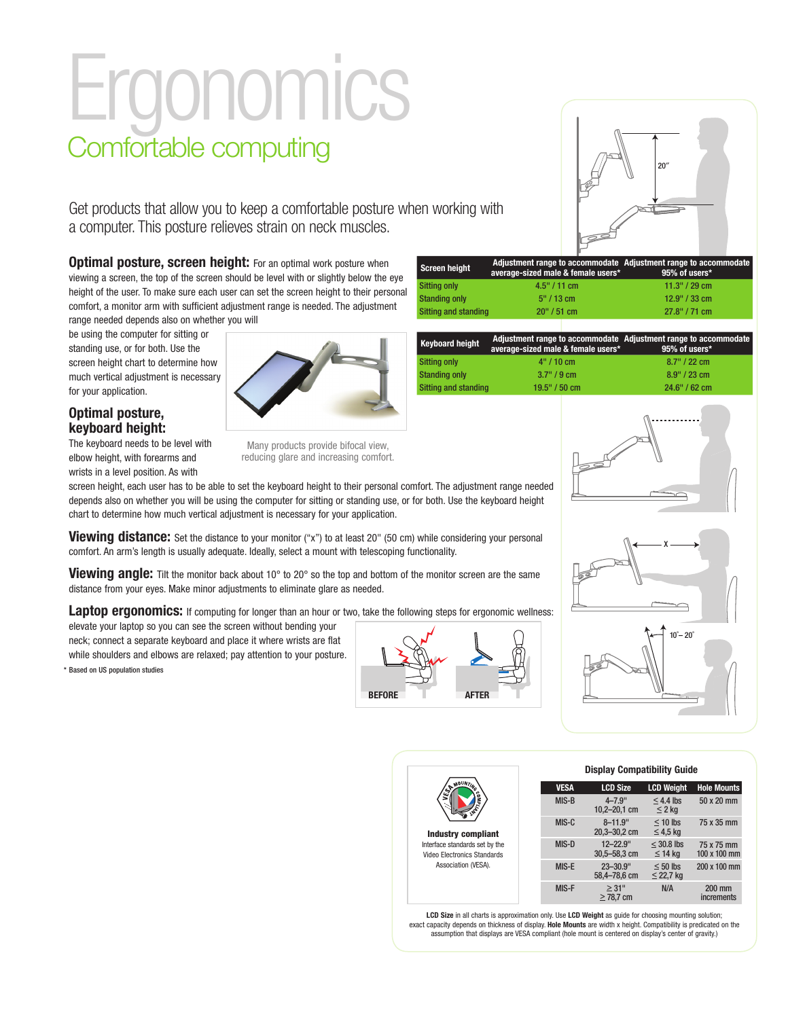# **Ergonomics** Comfortable computing

Get products that allow you to keep a comfortable posture when working with a computer. This posture relieves strain on neck muscles.

**Optimal posture, screen height:** For an optimal work posture when viewing a screen, the top of the screen should be level with or slightly below the eye height of the user. To make sure each user can set the screen height to their personal comfort, a monitor arm with sufficient adjustment range is needed. The adjustment range needed depends also on whether you will

be using the computer for sitting or standing use, or for both. Use the screen height chart to determine how much vertical adjustment is necessary for your application.

#### **Optimal posture, keyboard height:**

The keyboard needs to be level with elbow height, with forearms and wrists in a level position. As with

Many products provide bifocal view, reducing glare and increasing comfort.

screen height, each user has to be able to set the keyboard height to their personal comfort. The adjustment range needed depends also on whether you will be using the computer for sitting or standing use, or for both. Use the keyboard height chart to determine how much vertical adjustment is necessary for your application.

**Viewing distance:** Set the distance to your monitor ("x") to at least 20" (50 cm) while considering your personal comfort. An arm's length is usually adequate. Ideally, select a mount with telescoping functionality.

**Viewing angle:** Tilt the monitor back about 10° to 20° so the top and bottom of the monitor screen are the same distance from your eyes. Make minor adjustments to eliminate glare as needed.

**Laptop ergonomics:** If computing for longer than an hour or two, take the following steps for ergonomic wellness:

elevate your laptop so you can see the screen without bending your neck; connect a separate keyboard and place it where wrists are flat while shoulders and elbows are relaxed; pay attention to your posture.

\* Based on US population studies



| <b>Screen height</b>        | average-sized male & female users* | Adjustment range to accommodate Adjustment range to accommodate<br>95% of users* |
|-----------------------------|------------------------------------|----------------------------------------------------------------------------------|
| <b>Sitting only</b>         | $4.5" / 11$ cm                     | 11.3" / 29 cm                                                                    |
| <b>Standing only</b>        | $5" / 13$ cm                       | 12.9" / 33 cm                                                                    |
| <b>Sitting and standing</b> | 20" / 51 cm                        | 27.8" / 71 cm                                                                    |

| <b>Keyboard height</b> | Adjustment range to accommodate Adjustment range to accommodate<br>average-sized male & female users* | 95% of users*   |  |  |  |
|------------------------|-------------------------------------------------------------------------------------------------------|-----------------|--|--|--|
| <b>Sitting only</b>    | 4" / 10 cm                                                                                            | $8.7$ " / 22 cm |  |  |  |
| <b>Standing only</b>   | 3.7"/9cm                                                                                              | $8.9''$ / 23 cm |  |  |  |
| Sitting and standing   | 19.5" / 50 cm                                                                                         | 24.6" / 62 cm   |  |  |  |



20″



|                                                               | <b>Display Compatibility Guide</b> |                                   |                                 |                                   |  |  |  |
|---------------------------------------------------------------|------------------------------------|-----------------------------------|---------------------------------|-----------------------------------|--|--|--|
| <b>MOUNTIN</b><br>VES                                         | <b>VESA</b>                        | <b>LCD Size</b>                   | <b>LCD Weight</b>               | <b>Hole Mounts</b>                |  |  |  |
| 7dM0                                                          | MIS-B                              | $4 - 7.9$ "<br>$10,2 - 20,1$ cm   | $<$ 4.4 lbs<br>$\leq$ 2 kg      | 50 x 20 mm                        |  |  |  |
| Industry compliant                                            | $MIS-C$                            | $8 - 11.9$<br>$20,3 - 30,2$ cm    | $<$ 10 lbs<br>$\leq$ 4.5 kg     | 75 x 35 mm                        |  |  |  |
| Interface standards set by the<br>Video Electronics Standards | MIS-D                              | $12 - 22.9$ "<br>$30.5 - 58.3$ cm | $\leq$ 30.8 lbs<br>$\leq$ 14 kg | 75 x 75 mm<br>$100 \times 100$ mm |  |  |  |
| Association (VESA).                                           | MIS-E                              | $23 - 30.9"$<br>58.4-78.6 cm      | $\leq 50$ lbs<br>$\leq$ 22,7 kg | 200 x 100 mm                      |  |  |  |
|                                                               | MIS-F                              | > 31"<br>$\geq$ 78,7 cm           | N/A                             | $200$ mm<br><i>increments</i>     |  |  |  |

LCD Size in all charts is approximation only. Use LCD Weight as guide for choosing mounting solution;<br>exact capacity depends on thickness of display. Hole Mounts are width x height. Compatibility is predicated on the assumption that displays are VESA compliant (hole mount is centered on display's center of gravity.)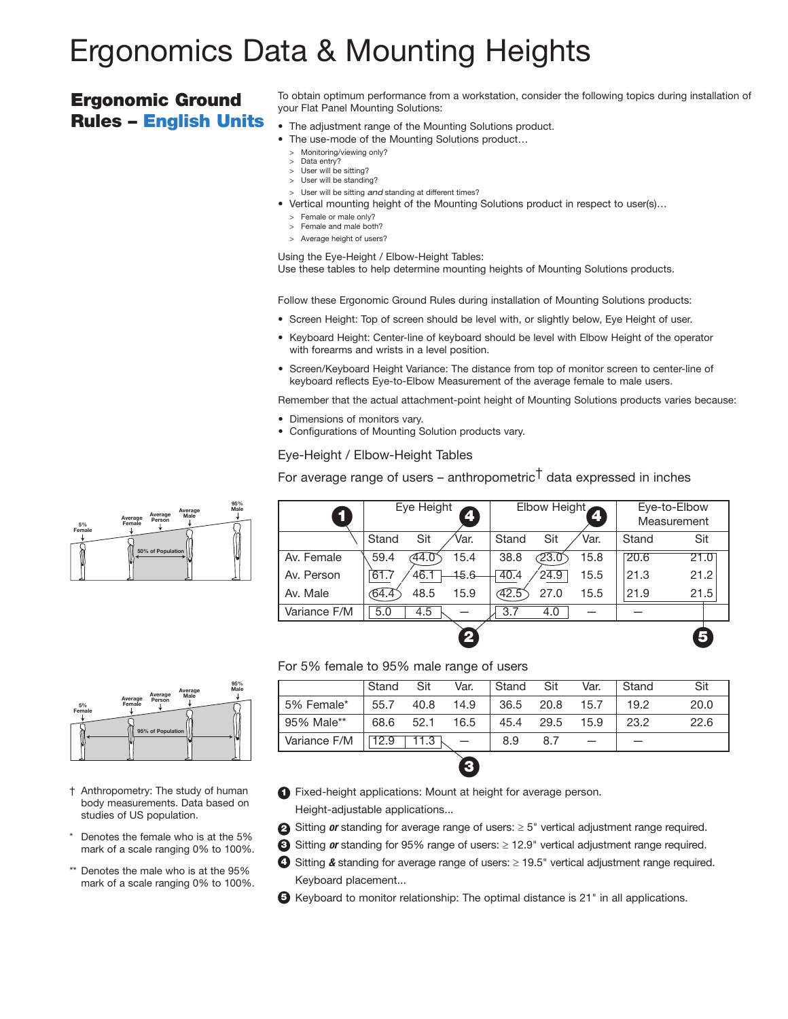# Ergonomics Data & Mounting Heights

### Ergonomic Ground Rules – English Units

To obtain optimum performance from a workstation, consider the following topics during installation of your Flat Panel Mounting Solutions:

- The adjustment range of the Mounting Solutions product.
- The use-mode of the Mounting Solutions product...
	- > Monitoring/viewing only?
	- > Data entry? > User will be sitting?
	- > User will be standing?
	- > User will be sitting *and* standing at different times?
- Vertical mounting height of the Mounting Solutions product in respect to user(s)…
	- > Female or male only?
	- > Female and male both?
	- > Average height of users?

Using the Eye-Height / Elbow-Height Tables:

Use these tables to help determine mounting heights of Mounting Solutions products. 

Follow these Ergonomic Ground Rules during installation of Mounting Solutions products:

- Screen Height: Top of screen should be level with, or slightly below, Eye Height of user.
- Keyboard Height: Center-line of keyboard should be level with Elbow Height of the operator with forearms and wrists in a level position.
- Screen/Keyboard Height Variance: The distance from top of monitor screen to center-line of keyboard reflects Eye-to-Elbow Measurement of the average female to male users.

Remember that the actual attachment-point height of Mounting Solutions products varies because:

- Dimensions of monitors vary.
- Configurations of Mounting Solution products vary.

## Eye-Height / Elbow-Height Tables 2

For average range of users – anthropometric<sup>†</sup> data expressed in inches

2

 $\mathbf{v}$ 

3

| 1            | Eye Height<br>4         | Elbow Height<br>4       | Eye-to-Elbow<br>Measurement |  |
|--------------|-------------------------|-------------------------|-----------------------------|--|
|              | Sit<br>Stand<br>Var.    | Sit<br>Stand<br>Var.    | Sit<br>Stand                |  |
| Av. Female   | 15.4<br>44.0<br>59.4    | 23.0<br>15.8<br>38.8    | 20.6<br>21.0                |  |
| Av. Person   | $-15.6$<br>61.7<br>46.1 | 40.4<br>24.9<br>15.5    | 21.2<br>21.3                |  |
| Av. Male     | 15.9<br>48.5<br>64.4    | 27.0<br>42.5<br>15.5    | 21.5<br>21.9                |  |
| Variance F/M | 5.0<br>4.5              | $\overline{3.7}$<br>4.0 |                             |  |
|              |                         |                         |                             |  |

### For 5% female to 95% male range of users

69 (1991) 1992 (1992) 1994

|              | Stand | Sit  | Var. | Stand | Sit  | Var. | Stand | Sit  |
|--------------|-------|------|------|-------|------|------|-------|------|
| 5% Female*   | 55.7  | 40.8 | 14.9 | 36.5  | 20.8 | 15.7 | 19.2  | 20.0 |
| 95% Male**   | 68.6  | 52.1 | 16.5 | 45.4  | 29.5 | 15.9 | 23.2  | 22.6 |
| Variance F/M | 12.9  | 1.3  |      | 8.9   | 8.7  |      |       |      |
|              |       |      |      |       |      |      |       |      |

5

**95% of Population Average Average Person 5% Female Female Average Male 95% Male**

**50% of Population**

**Average Male**

**95% Male**

**Average Average Person 5% Female**

**Female**

- † Anthropometry: The study of human body measurements. Data based on studies of US population.
- \* Denotes the female who is at the 5% mark of a scale ranging 0% to 100%.
- \*\* Denotes the male who is at the 95% mark of a scale ranging 0% to 100%.
- **B** Fixed-height applications: Mount at height for average person.

Height-adjustable applications...

- 2 Sitting *or* standing for average range of users: ≥ 5" vertical adjustment range required.
- **3** Sitting *or* standing for 95% range of users: ≥ 12.9" vertical adjustment range required.
- **4** Sitting & standing for average range of users: ≥ 19.5" vertical adjustment range required. Keyboard placement...
- **B** Keyboard to monitor relationship: The optimal distance is 21" in all applications. ī